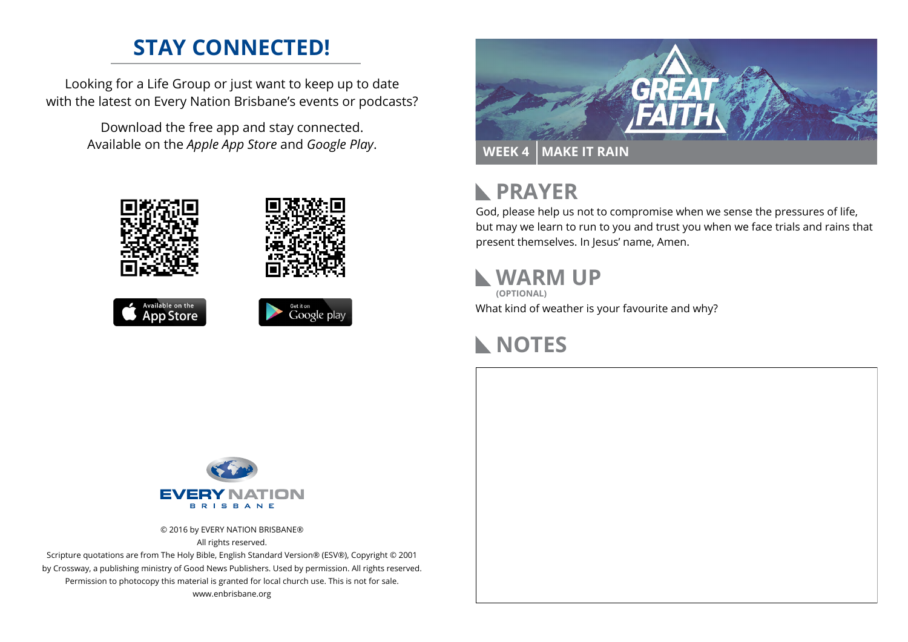### **STAY CONNECTED!**

Looking for a Life Group or just want to keep up to date with the latest on Every Nation Brisbane's events or podcasts?

> Download the free app and stay connected. Available on the *Apple App Store* and *Google Play*.





```
Available on the<br>App Store
```




#### **PRAYER**  $\mathbb{R}$

God, please help us not to compromise when we sense the pressures of life, but may we learn to run to you and trust you when we face trials and rains that present themselves. In Jesus' name, Amen.

#### **WARM UP (OPTIONAL)**

What kind of weather is your favourite and why?

# **NOTES**



© 2016 by EVERY NATION BRISBANE® All rights reserved.

Scripture quotations are from The Holy Bible, English Standard Version® (ESV®), Copyright © 2001 by Crossway, a publishing ministry of Good News Publishers. Used by permission. All rights reserved. Permission to photocopy this material is granted for local church use. This is not for sale. www.enbrisbane.org